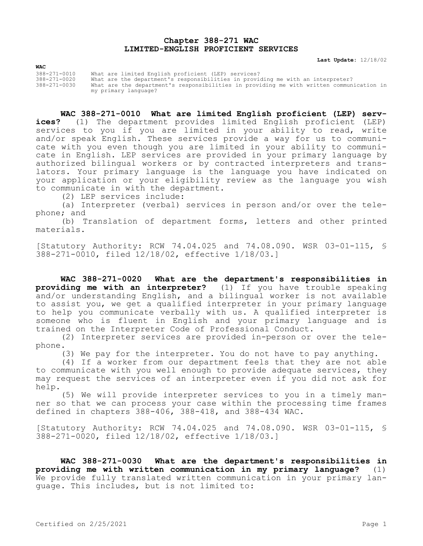## **Chapter 388-271 WAC LIMITED-ENGLISH PROFICIENT SERVICES**

**Last Update:** 12/18/02

| <b>WAC</b>   |                                                                                          |
|--------------|------------------------------------------------------------------------------------------|
| 388-271-0010 | What are limited English proficient (LEP) services?                                      |
| 388-271-0020 | What are the department's responsibilities in providing me with an interpreter?          |
| 388-271-0030 | What are the department's responsibilities in providing me with written communication in |
|              | my primary language?                                                                     |

**WAC 388-271-0010 What are limited English proficient (LEP) services?** (1) The department provides limited English proficient (LEP) services to you if you are limited in your ability to read, write and/or speak English. These services provide a way for us to communicate with you even though you are limited in your ability to communicate in English. LEP services are provided in your primary language by authorized bilingual workers or by contracted interpreters and translators. Your primary language is the language you have indicated on your application or your eligibility review as the language you wish to communicate in with the department.

(2) LEP services include:

(a) Interpreter (verbal) services in person and/or over the telephone; and

(b) Translation of department forms, letters and other printed materials.

[Statutory Authority: RCW 74.04.025 and 74.08.090. WSR 03-01-115, § 388-271-0010, filed 12/18/02, effective 1/18/03.]

**WAC 388-271-0020 What are the department's responsibilities in providing me with an interpreter?** (1) If you have trouble speaking and/or understanding English, and a bilingual worker is not available to assist you, we get a qualified interpreter in your primary language to help you communicate verbally with us. A qualified interpreter is someone who is fluent in English and your primary language and is trained on the Interpreter Code of Professional Conduct.

(2) Interpreter services are provided in-person or over the telephone.

(3) We pay for the interpreter. You do not have to pay anything.

(4) If a worker from our department feels that they are not able to communicate with you well enough to provide adequate services, they may request the services of an interpreter even if you did not ask for help.

(5) We will provide interpreter services to you in a timely manner so that we can process your case within the processing time frames defined in chapters 388-406, 388-418, and 388-434 WAC.

[Statutory Authority: RCW 74.04.025 and 74.08.090. WSR 03-01-115, § 388-271-0020, filed 12/18/02, effective 1/18/03.]

**WAC 388-271-0030 What are the department's responsibilities in providing me with written communication in my primary language?** (1) We provide fully translated written communication in your primary language. This includes, but is not limited to: